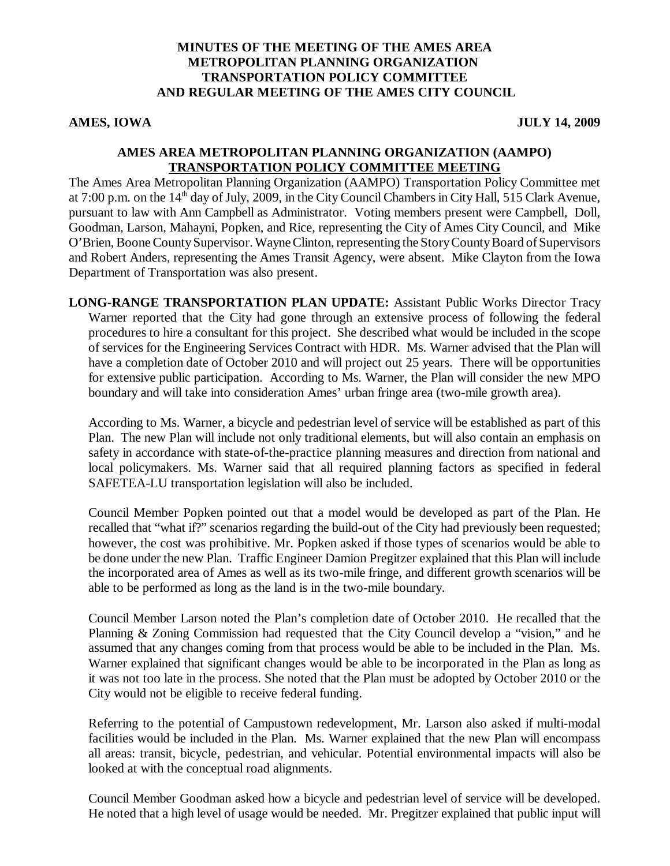## **MINUTES OF THE MEETING OF THE AMES AREA METROPOLITAN PLANNING ORGANIZATION TRANSPORTATION POLICY COMMITTEE AND REGULAR MEETING OF THE AMES CITY COUNCIL**

**AMES, IOWA JULY 14, 2009**

#### **AMES AREA METROPOLITAN PLANNING ORGANIZATION (AAMPO) TRANSPORTATION POLICY COMMITTEE MEETING**

The Ames Area Metropolitan Planning Organization (AAMPO) Transportation Policy Committee met at 7:00 p.m. on the 14<sup>th</sup> day of July, 2009, in the City Council Chambers in City Hall, 515 Clark Avenue, pursuant to law with Ann Campbell as Administrator. Voting members present were Campbell, Doll, Goodman, Larson, Mahayni, Popken, and Rice, representing the City of Ames City Council, and Mike O'Brien, Boone County Supervisor. Wayne Clinton, representing the Story County Board of Supervisors and Robert Anders, representing the Ames Transit Agency, were absent. Mike Clayton from the Iowa Department of Transportation was also present.

**LONG-RANGE TRANSPORTATION PLAN UPDATE:** Assistant Public Works Director Tracy Warner reported that the City had gone through an extensive process of following the federal procedures to hire a consultant for this project. She described what would be included in the scope of services for the Engineering Services Contract with HDR. Ms. Warner advised that the Plan will have a completion date of October 2010 and will project out 25 years. There will be opportunities for extensive public participation. According to Ms. Warner, the Plan will consider the new MPO boundary and will take into consideration Ames' urban fringe area (two-mile growth area).

According to Ms. Warner, a bicycle and pedestrian level of service will be established as part of this Plan. The new Plan will include not only traditional elements, but will also contain an emphasis on safety in accordance with state-of-the-practice planning measures and direction from national and local policymakers. Ms. Warner said that all required planning factors as specified in federal SAFETEA-LU transportation legislation will also be included.

Council Member Popken pointed out that a model would be developed as part of the Plan. He recalled that "what if?" scenarios regarding the build-out of the City had previously been requested; however, the cost was prohibitive. Mr. Popken asked if those types of scenarios would be able to be done under the new Plan. Traffic Engineer Damion Pregitzer explained that this Plan will include the incorporated area of Ames as well as its two-mile fringe, and different growth scenarios will be able to be performed as long as the land is in the two-mile boundary.

Council Member Larson noted the Plan's completion date of October 2010. He recalled that the Planning & Zoning Commission had requested that the City Council develop a "vision," and he assumed that any changes coming from that process would be able to be included in the Plan. Ms. Warner explained that significant changes would be able to be incorporated in the Plan as long as it was not too late in the process. She noted that the Plan must be adopted by October 2010 or the City would not be eligible to receive federal funding.

Referring to the potential of Campustown redevelopment, Mr. Larson also asked if multi-modal facilities would be included in the Plan. Ms. Warner explained that the new Plan will encompass all areas: transit, bicycle, pedestrian, and vehicular. Potential environmental impacts will also be looked at with the conceptual road alignments.

Council Member Goodman asked how a bicycle and pedestrian level of service will be developed. He noted that a high level of usage would be needed. Mr. Pregitzer explained that public input will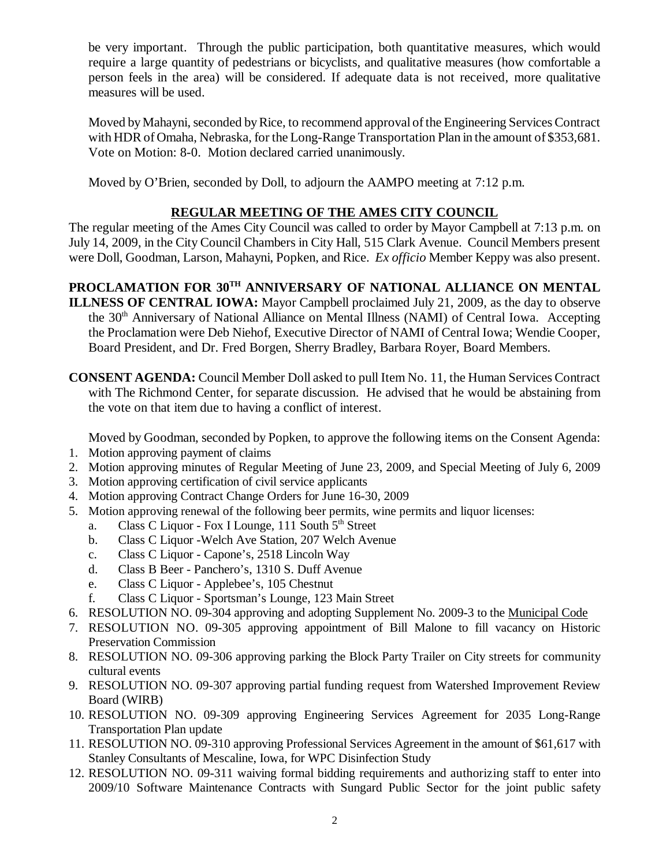be very important. Through the public participation, both quantitative measures, which would require a large quantity of pedestrians or bicyclists, and qualitative measures (how comfortable a person feels in the area) will be considered. If adequate data is not received, more qualitative measures will be used.

Moved by Mahayni, seconded by Rice, to recommend approval of the Engineering Services Contract with HDR of Omaha, Nebraska, for the Long-Range Transportation Plan in the amount of \$353,681. Vote on Motion: 8-0. Motion declared carried unanimously.

Moved by O'Brien, seconded by Doll, to adjourn the AAMPO meeting at 7:12 p.m.

# **REGULAR MEETING OF THE AMES CITY COUNCIL**

The regular meeting of the Ames City Council was called to order by Mayor Campbell at 7:13 p.m. on July 14, 2009, in the City Council Chambers in City Hall, 515 Clark Avenue. Council Members present were Doll, Goodman, Larson, Mahayni, Popken, and Rice. *Ex officio* Member Keppy was also present.

**PROCLAMATION FOR 30TH ANNIVERSARY OF NATIONAL ALLIANCE ON MENTAL ILLNESS OF CENTRAL IOWA:** Mayor Campbell proclaimed July 21, 2009, as the day to observe the 30<sup>th</sup> Anniversary of National Alliance on Mental Illness (NAMI) of Central Iowa. Accepting the Proclamation were Deb Niehof, Executive Director of NAMI of Central Iowa; Wendie Cooper, Board President, and Dr. Fred Borgen, Sherry Bradley, Barbara Royer, Board Members.

**CONSENT AGENDA:** Council Member Doll asked to pull Item No. 11, the Human Services Contract with The Richmond Center, for separate discussion. He advised that he would be abstaining from the vote on that item due to having a conflict of interest.

Moved by Goodman, seconded by Popken, to approve the following items on the Consent Agenda:

- 1. Motion approving payment of claims
- 2. Motion approving minutes of Regular Meeting of June 23, 2009, and Special Meeting of July 6, 2009
- 3. Motion approving certification of civil service applicants
- 4. Motion approving Contract Change Orders for June 16-30, 2009
- 5. Motion approving renewal of the following beer permits, wine permits and liquor licenses:
	- a. Class C Liquor Fox I Lounge, 111 South  $5<sup>th</sup>$  Street
	- b. Class C Liquor -Welch Ave Station, 207 Welch Avenue
	- c. Class C Liquor Capone's, 2518 Lincoln Way
	- d. Class B Beer Panchero's, 1310 S. Duff Avenue
	- e. Class C Liquor Applebee's, 105 Chestnut
	- f. Class C Liquor Sportsman's Lounge, 123 Main Street
- 6. RESOLUTION NO. 09-304 approving and adopting Supplement No. 2009-3 to the Municipal Code
- 7. RESOLUTION NO. 09-305 approving appointment of Bill Malone to fill vacancy on Historic Preservation Commission
- 8. RESOLUTION NO. 09-306 approving parking the Block Party Trailer on City streets for community cultural events
- 9. RESOLUTION NO. 09-307 approving partial funding request from Watershed Improvement Review Board (WIRB)
- 10. RESOLUTION NO. 09-309 approving Engineering Services Agreement for 2035 Long-Range Transportation Plan update
- 11. RESOLUTION NO. 09-310 approving Professional Services Agreement in the amount of \$61,617 with Stanley Consultants of Mescaline, Iowa, for WPC Disinfection Study
- 12. RESOLUTION NO. 09-311 waiving formal bidding requirements and authorizing staff to enter into 2009/10 Software Maintenance Contracts with Sungard Public Sector for the joint public safety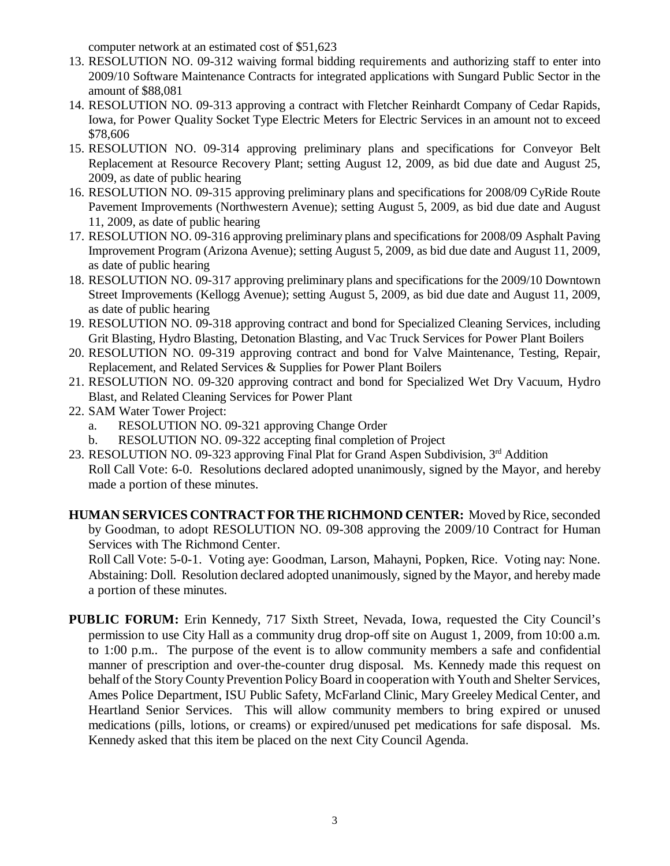computer network at an estimated cost of \$51,623

- 13. RESOLUTION NO. 09-312 waiving formal bidding requirements and authorizing staff to enter into 2009/10 Software Maintenance Contracts for integrated applications with Sungard Public Sector in the amount of \$88,081
- 14. RESOLUTION NO. 09-313 approving a contract with Fletcher Reinhardt Company of Cedar Rapids, Iowa, for Power Quality Socket Type Electric Meters for Electric Services in an amount not to exceed \$78,606
- 15. RESOLUTION NO. 09-314 approving preliminary plans and specifications for Conveyor Belt Replacement at Resource Recovery Plant; setting August 12, 2009, as bid due date and August 25, 2009, as date of public hearing
- 16. RESOLUTION NO. 09-315 approving preliminary plans and specifications for 2008/09 CyRide Route Pavement Improvements (Northwestern Avenue); setting August 5, 2009, as bid due date and August 11, 2009, as date of public hearing
- 17. RESOLUTION NO. 09-316 approving preliminary plans and specifications for 2008/09 Asphalt Paving Improvement Program (Arizona Avenue); setting August 5, 2009, as bid due date and August 11, 2009, as date of public hearing
- 18. RESOLUTION NO. 09-317 approving preliminary plans and specifications for the 2009/10 Downtown Street Improvements (Kellogg Avenue); setting August 5, 2009, as bid due date and August 11, 2009, as date of public hearing
- 19. RESOLUTION NO. 09-318 approving contract and bond for Specialized Cleaning Services, including Grit Blasting, Hydro Blasting, Detonation Blasting, and Vac Truck Services for Power Plant Boilers
- 20. RESOLUTION NO. 09-319 approving contract and bond for Valve Maintenance, Testing, Repair, Replacement, and Related Services & Supplies for Power Plant Boilers
- 21. RESOLUTION NO. 09-320 approving contract and bond for Specialized Wet Dry Vacuum, Hydro Blast, and Related Cleaning Services for Power Plant
- 22. SAM Water Tower Project:
	- a. RESOLUTION NO. 09-321 approving Change Order
	- b. RESOLUTION NO. 09-322 accepting final completion of Project
- 23. RESOLUTION NO. 09-323 approving Final Plat for Grand Aspen Subdivision,  $3<sup>rd</sup>$  Addition Roll Call Vote: 6-0. Resolutions declared adopted unanimously, signed by the Mayor, and hereby made a portion of these minutes.
- **HUMAN SERVICES CONTRACT FOR THE RICHMOND CENTER:** Moved by Rice, seconded by Goodman, to adopt RESOLUTION NO. 09-308 approving the 2009/10 Contract for Human Services with The Richmond Center.

Roll Call Vote: 5-0-1. Voting aye: Goodman, Larson, Mahayni, Popken, Rice. Voting nay: None. Abstaining: Doll. Resolution declared adopted unanimously, signed by the Mayor, and hereby made a portion of these minutes.

**PUBLIC FORUM:** Erin Kennedy, 717 Sixth Street, Nevada, Iowa, requested the City Council's permission to use City Hall as a community drug drop-off site on August 1, 2009, from 10:00 a.m. to 1:00 p.m.. The purpose of the event is to allow community members a safe and confidential manner of prescription and over-the-counter drug disposal. Ms. Kennedy made this request on behalf of the Story County Prevention Policy Board in cooperation with Youth and Shelter Services, Ames Police Department, ISU Public Safety, McFarland Clinic, Mary Greeley Medical Center, and Heartland Senior Services. This will allow community members to bring expired or unused medications (pills, lotions, or creams) or expired/unused pet medications for safe disposal. Ms. Kennedy asked that this item be placed on the next City Council Agenda.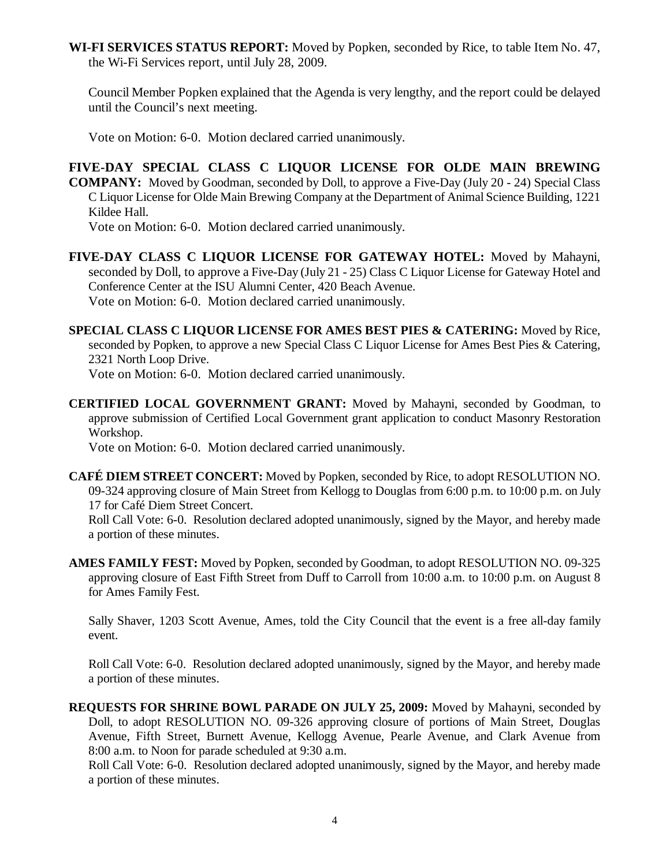**WI-FI SERVICES STATUS REPORT:** Moved by Popken, seconded by Rice, to table Item No. 47, the Wi-Fi Services report, until July 28, 2009.

Council Member Popken explained that the Agenda is very lengthy, and the report could be delayed until the Council's next meeting.

Vote on Motion: 6-0. Motion declared carried unanimously.

## **FIVE-DAY SPECIAL CLASS C LIQUOR LICENSE FOR OLDE MAIN BREWING**

**COMPANY:** Moved by Goodman, seconded by Doll, to approve a Five-Day (July 20 - 24) Special Class C Liquor License for Olde Main Brewing Company at the Department of Animal Science Building, 1221 Kildee Hall.

Vote on Motion: 6-0. Motion declared carried unanimously.

**FIVE-DAY CLASS C LIQUOR LICENSE FOR GATEWAY HOTEL:** Moved by Mahayni, seconded by Doll, to approve a Five-Day (July 21 - 25) Class C Liquor License for Gateway Hotel and Conference Center at the ISU Alumni Center, 420 Beach Avenue. Vote on Motion: 6-0. Motion declared carried unanimously.

**SPECIAL CLASS C LIQUOR LICENSE FOR AMES BEST PIES & CATERING:** Moved by Rice, seconded by Popken, to approve a new Special Class C Liquor License for Ames Best Pies & Catering, 2321 North Loop Drive.

Vote on Motion: 6-0. Motion declared carried unanimously.

**CERTIFIED LOCAL GOVERNMENT GRANT:** Moved by Mahayni, seconded by Goodman, to approve submission of Certified Local Government grant application to conduct Masonry Restoration Workshop.

Vote on Motion: 6-0. Motion declared carried unanimously.

**CAFÉ DIEM STREET CONCERT:** Moved by Popken, seconded by Rice, to adopt RESOLUTION NO. 09-324 approving closure of Main Street from Kellogg to Douglas from 6:00 p.m. to 10:00 p.m. on July 17 for Café Diem Street Concert.

Roll Call Vote: 6-0. Resolution declared adopted unanimously, signed by the Mayor, and hereby made a portion of these minutes.

**AMES FAMILY FEST:** Moved by Popken, seconded by Goodman, to adopt RESOLUTION NO. 09-325 approving closure of East Fifth Street from Duff to Carroll from 10:00 a.m. to 10:00 p.m. on August 8 for Ames Family Fest.

Sally Shaver, 1203 Scott Avenue, Ames, told the City Council that the event is a free all-day family event.

Roll Call Vote: 6-0. Resolution declared adopted unanimously, signed by the Mayor, and hereby made a portion of these minutes.

**REQUESTS FOR SHRINE BOWL PARADE ON JULY 25, 2009:** Moved by Mahayni, seconded by Doll, to adopt RESOLUTION NO. 09-326 approving closure of portions of Main Street, Douglas Avenue, Fifth Street, Burnett Avenue, Kellogg Avenue, Pearle Avenue, and Clark Avenue from 8:00 a.m. to Noon for parade scheduled at 9:30 a.m.

Roll Call Vote: 6-0. Resolution declared adopted unanimously, signed by the Mayor, and hereby made a portion of these minutes.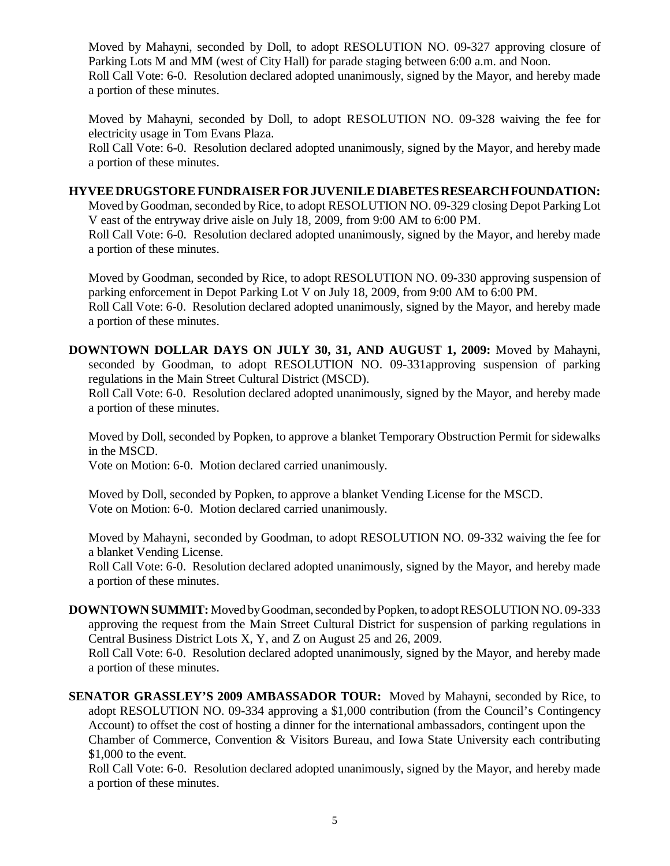Moved by Mahayni, seconded by Doll, to adopt RESOLUTION NO. 09-327 approving closure of Parking Lots M and MM (west of City Hall) for parade staging between 6:00 a.m. and Noon. Roll Call Vote: 6-0. Resolution declared adopted unanimously, signed by the Mayor, and hereby made a portion of these minutes.

Moved by Mahayni, seconded by Doll, to adopt RESOLUTION NO. 09-328 waiving the fee for electricity usage in Tom Evans Plaza.

Roll Call Vote: 6-0. Resolution declared adopted unanimously, signed by the Mayor, and hereby made a portion of these minutes.

#### **HYVEE DRUGSTORE FUNDRAISER FOR JUVENILE DIABETES RESEARCH FOUNDATION:**

Moved by Goodman, seconded by Rice, to adopt RESOLUTION NO. 09-329 closing Depot Parking Lot V east of the entryway drive aisle on July 18, 2009, from 9:00 AM to 6:00 PM.

Roll Call Vote: 6-0. Resolution declared adopted unanimously, signed by the Mayor, and hereby made a portion of these minutes.

Moved by Goodman, seconded by Rice, to adopt RESOLUTION NO. 09-330 approving suspension of parking enforcement in Depot Parking Lot V on July 18, 2009, from 9:00 AM to 6:00 PM. Roll Call Vote: 6-0. Resolution declared adopted unanimously, signed by the Mayor, and hereby made a portion of these minutes.

**DOWNTOWN DOLLAR DAYS ON JULY 30, 31, AND AUGUST 1, 2009:** Moved by Mahayni, seconded by Goodman, to adopt RESOLUTION NO. 09-331approving suspension of parking regulations in the Main Street Cultural District (MSCD).

Roll Call Vote: 6-0. Resolution declared adopted unanimously, signed by the Mayor, and hereby made a portion of these minutes.

Moved by Doll, seconded by Popken, to approve a blanket Temporary Obstruction Permit for sidewalks in the MSCD.

Vote on Motion: 6-0. Motion declared carried unanimously.

Moved by Doll, seconded by Popken, to approve a blanket Vending License for the MSCD. Vote on Motion: 6-0. Motion declared carried unanimously.

Moved by Mahayni, seconded by Goodman, to adopt RESOLUTION NO. 09-332 waiving the fee for a blanket Vending License.

Roll Call Vote: 6-0. Resolution declared adopted unanimously, signed by the Mayor, and hereby made a portion of these minutes.

**DOWNTOWN SUMMIT:** Moved by Goodman, seconded by Popken, to adopt RESOLUTION NO. 09-333 approving the request from the Main Street Cultural District for suspension of parking regulations in Central Business District Lots X, Y, and Z on August 25 and 26, 2009. Roll Call Vote: 6-0. Resolution declared adopted unanimously, signed by the Mayor, and hereby made

a portion of these minutes.

**SENATOR GRASSLEY'S 2009 AMBASSADOR TOUR:** Moved by Mahayni, seconded by Rice, to adopt RESOLUTION NO. 09-334 approving a \$1,000 contribution (from the Council's Contingency Account) to offset the cost of hosting a dinner for the international ambassadors, contingent upon the Chamber of Commerce, Convention & Visitors Bureau, and Iowa State University each contributing \$1,000 to the event.

Roll Call Vote: 6-0. Resolution declared adopted unanimously, signed by the Mayor, and hereby made a portion of these minutes.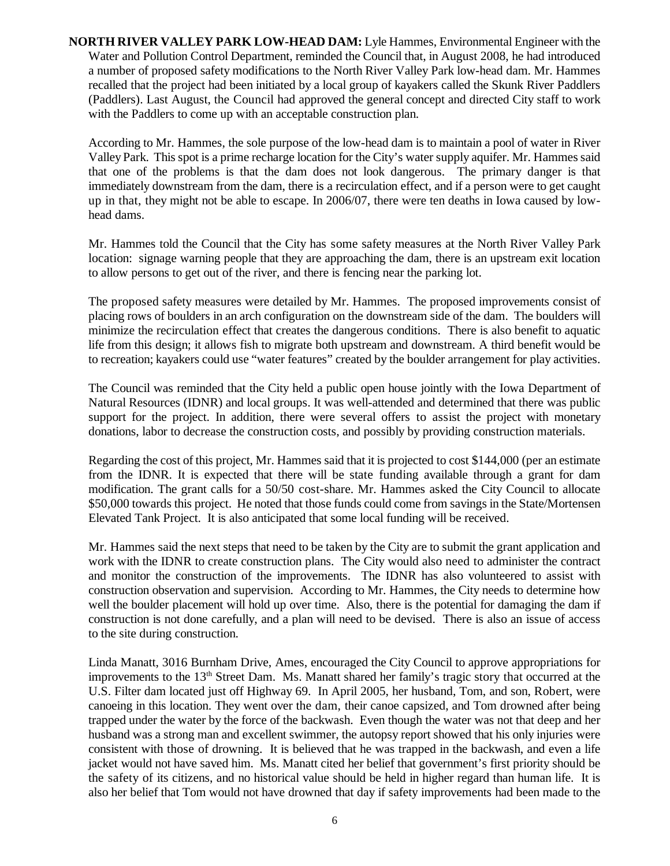**NORTH RIVER VALLEY PARK LOW-HEAD DAM:** Lyle Hammes, Environmental Engineer with the Water and Pollution Control Department, reminded the Council that, in August 2008, he had introduced a number of proposed safety modifications to the North River Valley Park low-head dam. Mr. Hammes recalled that the project had been initiated by a local group of kayakers called the Skunk River Paddlers (Paddlers). Last August, the Council had approved the general concept and directed City staff to work with the Paddlers to come up with an acceptable construction plan.

According to Mr. Hammes, the sole purpose of the low-head dam is to maintain a pool of water in River Valley Park. This spot is a prime recharge location for the City's water supply aquifer. Mr. Hammes said that one of the problems is that the dam does not look dangerous. The primary danger is that immediately downstream from the dam, there is a recirculation effect, and if a person were to get caught up in that, they might not be able to escape. In 2006/07, there were ten deaths in Iowa caused by lowhead dams.

Mr. Hammes told the Council that the City has some safety measures at the North River Valley Park location: signage warning people that they are approaching the dam, there is an upstream exit location to allow persons to get out of the river, and there is fencing near the parking lot.

The proposed safety measures were detailed by Mr. Hammes. The proposed improvements consist of placing rows of boulders in an arch configuration on the downstream side of the dam. The boulders will minimize the recirculation effect that creates the dangerous conditions. There is also benefit to aquatic life from this design; it allows fish to migrate both upstream and downstream. A third benefit would be to recreation; kayakers could use "water features" created by the boulder arrangement for play activities.

The Council was reminded that the City held a public open house jointly with the Iowa Department of Natural Resources (IDNR) and local groups. It was well-attended and determined that there was public support for the project. In addition, there were several offers to assist the project with monetary donations, labor to decrease the construction costs, and possibly by providing construction materials.

Regarding the cost of this project, Mr. Hammes said that it is projected to cost \$144,000 (per an estimate from the IDNR. It is expected that there will be state funding available through a grant for dam modification. The grant calls for a 50/50 cost-share. Mr. Hammes asked the City Council to allocate \$50,000 towards this project. He noted that those funds could come from savings in the State/Mortensen Elevated Tank Project. It is also anticipated that some local funding will be received.

Mr. Hammes said the next steps that need to be taken by the City are to submit the grant application and work with the IDNR to create construction plans. The City would also need to administer the contract and monitor the construction of the improvements. The IDNR has also volunteered to assist with construction observation and supervision. According to Mr. Hammes, the City needs to determine how well the boulder placement will hold up over time. Also, there is the potential for damaging the dam if construction is not done carefully, and a plan will need to be devised. There is also an issue of access to the site during construction.

Linda Manatt, 3016 Burnham Drive, Ames, encouraged the City Council to approve appropriations for improvements to the 13<sup>th</sup> Street Dam. Ms. Manatt shared her family's tragic story that occurred at the U.S. Filter dam located just off Highway 69. In April 2005, her husband, Tom, and son, Robert, were canoeing in this location. They went over the dam, their canoe capsized, and Tom drowned after being trapped under the water by the force of the backwash. Even though the water was not that deep and her husband was a strong man and excellent swimmer, the autopsy report showed that his only injuries were consistent with those of drowning. It is believed that he was trapped in the backwash, and even a life jacket would not have saved him. Ms. Manatt cited her belief that government's first priority should be the safety of its citizens, and no historical value should be held in higher regard than human life. It is also her belief that Tom would not have drowned that day if safety improvements had been made to the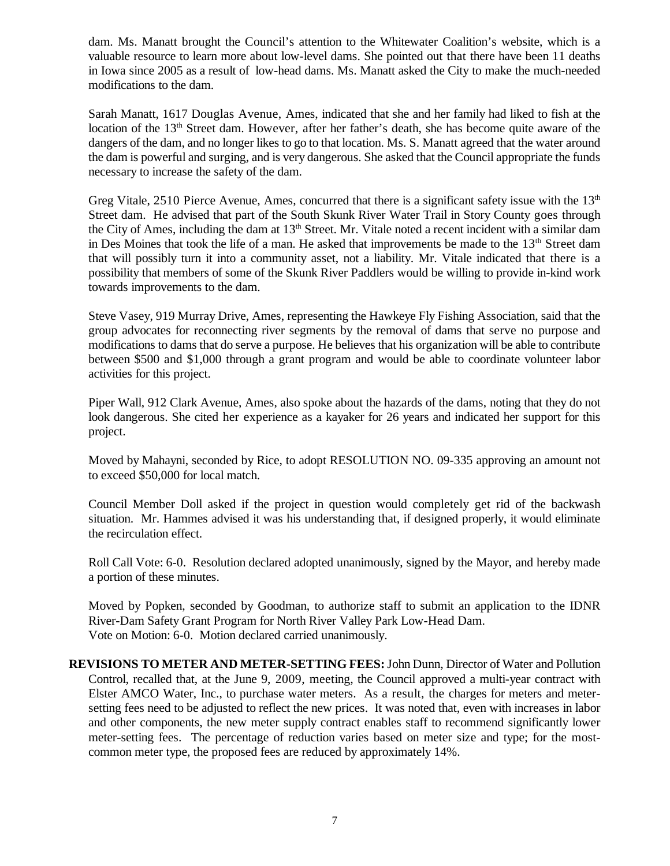dam. Ms. Manatt brought the Council's attention to the Whitewater Coalition's website, which is a valuable resource to learn more about low-level dams. She pointed out that there have been 11 deaths in Iowa since 2005 as a result of low-head dams. Ms. Manatt asked the City to make the much-needed modifications to the dam.

Sarah Manatt, 1617 Douglas Avenue, Ames, indicated that she and her family had liked to fish at the location of the 13<sup>th</sup> Street dam. However, after her father's death, she has become quite aware of the dangers of the dam, and no longer likes to go to that location. Ms. S. Manatt agreed that the water around the dam is powerful and surging, and is very dangerous. She asked that the Council appropriate the funds necessary to increase the safety of the dam.

Greg Vitale, 2510 Pierce Avenue, Ames, concurred that there is a significant safety issue with the  $13<sup>th</sup>$ Street dam. He advised that part of the South Skunk River Water Trail in Story County goes through the City of Ames, including the dam at  $13<sup>th</sup>$  Street. Mr. Vitale noted a recent incident with a similar dam in Des Moines that took the life of a man. He asked that improvements be made to the 13<sup>th</sup> Street dam that will possibly turn it into a community asset, not a liability. Mr. Vitale indicated that there is a possibility that members of some of the Skunk River Paddlers would be willing to provide in-kind work towards improvements to the dam.

Steve Vasey, 919 Murray Drive, Ames, representing the Hawkeye Fly Fishing Association, said that the group advocates for reconnecting river segments by the removal of dams that serve no purpose and modifications to dams that do serve a purpose. He believes that his organization will be able to contribute between \$500 and \$1,000 through a grant program and would be able to coordinate volunteer labor activities for this project.

Piper Wall, 912 Clark Avenue, Ames, also spoke about the hazards of the dams, noting that they do not look dangerous. She cited her experience as a kayaker for 26 years and indicated her support for this project.

Moved by Mahayni, seconded by Rice, to adopt RESOLUTION NO. 09-335 approving an amount not to exceed \$50,000 for local match.

Council Member Doll asked if the project in question would completely get rid of the backwash situation. Mr. Hammes advised it was his understanding that, if designed properly, it would eliminate the recirculation effect.

Roll Call Vote: 6-0. Resolution declared adopted unanimously, signed by the Mayor, and hereby made a portion of these minutes.

Moved by Popken, seconded by Goodman, to authorize staff to submit an application to the IDNR River-Dam Safety Grant Program for North River Valley Park Low-Head Dam. Vote on Motion: 6-0. Motion declared carried unanimously.

**REVISIONS TO METER AND METER-SETTING FEES:** John Dunn, Director of Water and Pollution Control, recalled that, at the June 9, 2009, meeting, the Council approved a multi-year contract with Elster AMCO Water, Inc., to purchase water meters. As a result, the charges for meters and metersetting fees need to be adjusted to reflect the new prices. It was noted that, even with increases in labor and other components, the new meter supply contract enables staff to recommend significantly lower meter-setting fees. The percentage of reduction varies based on meter size and type; for the mostcommon meter type, the proposed fees are reduced by approximately 14%.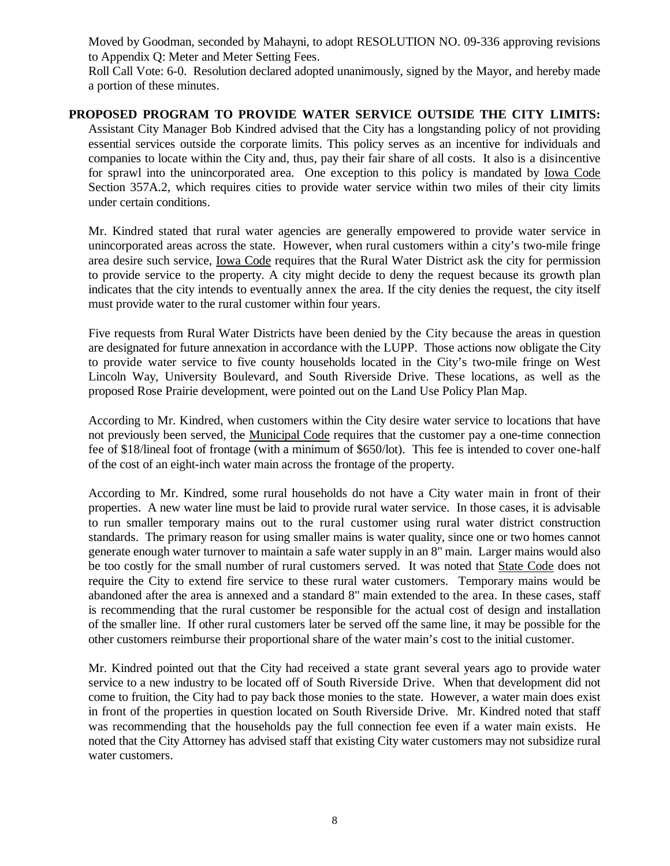Moved by Goodman, seconded by Mahayni, to adopt RESOLUTION NO. 09-336 approving revisions to Appendix Q: Meter and Meter Setting Fees.

Roll Call Vote: 6-0. Resolution declared adopted unanimously, signed by the Mayor, and hereby made a portion of these minutes.

#### **PROPOSED PROGRAM TO PROVIDE WATER SERVICE OUTSIDE THE CITY LIMITS:** Assistant City Manager Bob Kindred advised that the City has a longstanding policy of not providing essential services outside the corporate limits. This policy serves as an incentive for individuals and companies to locate within the City and, thus, pay their fair share of all costs. It also is a disincentive for sprawl into the unincorporated area. One exception to this policy is mandated by Iowa Code Section 357A.2, which requires cities to provide water service within two miles of their city limits under certain conditions.

Mr. Kindred stated that rural water agencies are generally empowered to provide water service in unincorporated areas across the state. However, when rural customers within a city's two-mile fringe area desire such service, Iowa Code requires that the Rural Water District ask the city for permission to provide service to the property. A city might decide to deny the request because its growth plan indicates that the city intends to eventually annex the area. If the city denies the request, the city itself must provide water to the rural customer within four years.

Five requests from Rural Water Districts have been denied by the City because the areas in question are designated for future annexation in accordance with the LUPP. Those actions now obligate the City to provide water service to five county households located in the City's two-mile fringe on West Lincoln Way, University Boulevard, and South Riverside Drive. These locations, as well as the proposed Rose Prairie development, were pointed out on the Land Use Policy Plan Map.

According to Mr. Kindred, when customers within the City desire water service to locations that have not previously been served, the Municipal Code requires that the customer pay a one-time connection fee of \$18/lineal foot of frontage (with a minimum of \$650/lot). This fee is intended to cover one-half of the cost of an eight-inch water main across the frontage of the property.

According to Mr. Kindred, some rural households do not have a City water main in front of their properties. A new water line must be laid to provide rural water service. In those cases, it is advisable to run smaller temporary mains out to the rural customer using rural water district construction standards. The primary reason for using smaller mains is water quality, since one or two homes cannot generate enough water turnover to maintain a safe water supply in an 8" main. Larger mains would also be too costly for the small number of rural customers served. It was noted that State Code does not require the City to extend fire service to these rural water customers. Temporary mains would be abandoned after the area is annexed and a standard 8" main extended to the area. In these cases, staff is recommending that the rural customer be responsible for the actual cost of design and installation of the smaller line. If other rural customers later be served off the same line, it may be possible for the other customers reimburse their proportional share of the water main's cost to the initial customer.

Mr. Kindred pointed out that the City had received a state grant several years ago to provide water service to a new industry to be located off of South Riverside Drive. When that development did not come to fruition, the City had to pay back those monies to the state. However, a water main does exist in front of the properties in question located on South Riverside Drive. Mr. Kindred noted that staff was recommending that the households pay the full connection fee even if a water main exists. He noted that the City Attorney has advised staff that existing City water customers may not subsidize rural water customers.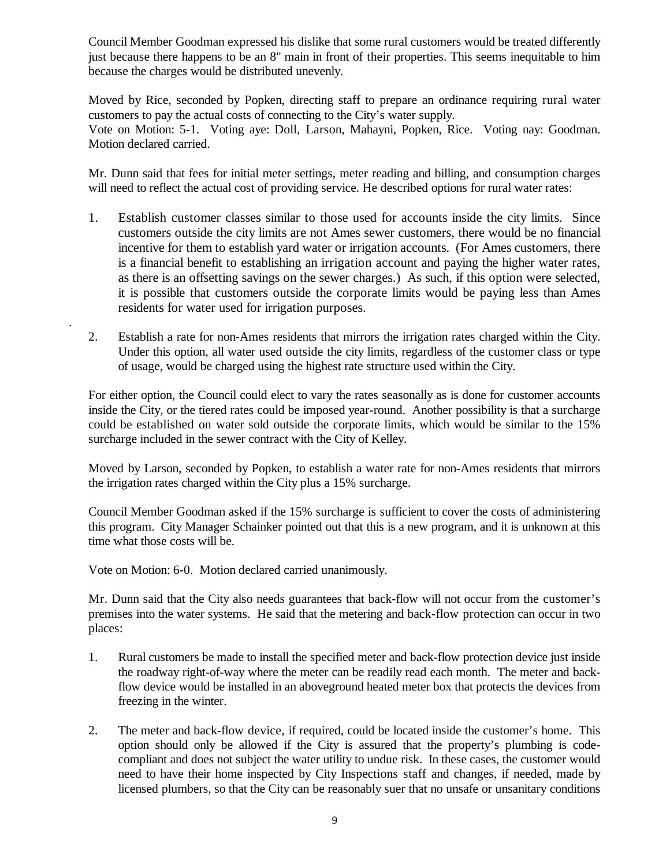Council Member Goodman expressed his dislike that some rural customers would be treated differently just because there happens to be an 8" main in front of their properties. This seems inequitable to him because the charges would be distributed unevenly.

Moved by Rice, seconded by Popken, directing staff to prepare an ordinance requiring rural water customers to pay the actual costs of connecting to the City's water supply. Vote on Motion: 5-1. Voting aye: Doll, Larson, Mahayni, Popken, Rice. Voting nay: Goodman. Motion declared carried.

Mr. Dunn said that fees for initial meter settings, meter reading and billing, and consumption charges will need to reflect the actual cost of providing service. He described options for rural water rates:

- 1. Establish customer classes similar to those used for accounts inside the city limits. Since customers outside the city limits are not Ames sewer customers, there would be no financial incentive for them to establish yard water or irrigation accounts. (For Ames customers, there is a financial benefit to establishing an irrigation account and paying the higher water rates, as there is an offsetting savings on the sewer charges.) As such, if this option were selected, it is possible that customers outside the corporate limits would be paying less than Ames residents for water used for irrigation purposes.
- 2. Establish a rate for non-Ames residents that mirrors the irrigation rates charged within the City. Under this option, all water used outside the city limits, regardless of the customer class or type of usage, would be charged using the highest rate structure used within the City.

For either option, the Council could elect to vary the rates seasonally as is done for customer accounts inside the City, or the tiered rates could be imposed year-round. Another possibility is that a surcharge could be established on water sold outside the corporate limits, which would be similar to the 15% surcharge included in the sewer contract with the City of Kelley.

Moved by Larson, seconded by Popken, to establish a water rate for non-Ames residents that mirrors the irrigation rates charged within the City plus a 15% surcharge.

Council Member Goodman asked if the 15% surcharge is sufficient to cover the costs of administering this program. City Manager Schainker pointed out that this is a new program, and it is unknown at this time what those costs will be.

Vote on Motion: 6-0. Motion declared carried unanimously.

.

Mr. Dunn said that the City also needs guarantees that back-flow will not occur from the customer's premises into the water systems. He said that the metering and back-flow protection can occur in two places:

- 1. Rural customers be made to install the specified meter and back-flow protection device just inside the roadway right-of-way where the meter can be readily read each month. The meter and backflow device would be installed in an aboveground heated meter box that protects the devices from freezing in the winter.
- 2. The meter and back-flow device, if required, could be located inside the customer's home. This option should only be allowed if the City is assured that the property's plumbing is codecompliant and does not subject the water utility to undue risk. In these cases, the customer would need to have their home inspected by City Inspections staff and changes, if needed, made by licensed plumbers, so that the City can be reasonably suer that no unsafe or unsanitary conditions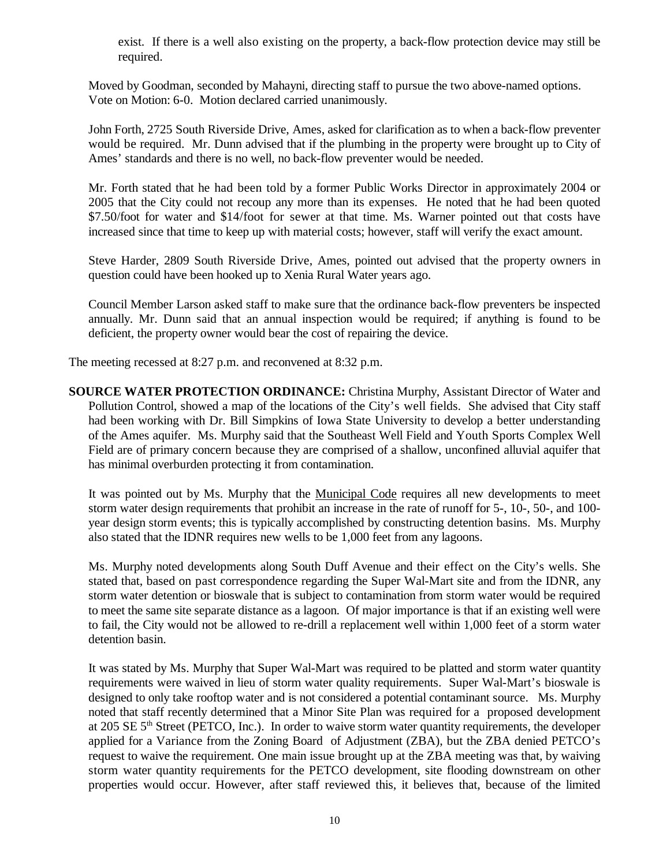exist. If there is a well also existing on the property, a back-flow protection device may still be required.

Moved by Goodman, seconded by Mahayni, directing staff to pursue the two above-named options. Vote on Motion: 6-0. Motion declared carried unanimously.

John Forth, 2725 South Riverside Drive, Ames, asked for clarification as to when a back-flow preventer would be required. Mr. Dunn advised that if the plumbing in the property were brought up to City of Ames' standards and there is no well, no back-flow preventer would be needed.

Mr. Forth stated that he had been told by a former Public Works Director in approximately 2004 or 2005 that the City could not recoup any more than its expenses. He noted that he had been quoted \$7.50/foot for water and \$14/foot for sewer at that time. Ms. Warner pointed out that costs have increased since that time to keep up with material costs; however, staff will verify the exact amount.

Steve Harder, 2809 South Riverside Drive, Ames, pointed out advised that the property owners in question could have been hooked up to Xenia Rural Water years ago.

Council Member Larson asked staff to make sure that the ordinance back-flow preventers be inspected annually. Mr. Dunn said that an annual inspection would be required; if anything is found to be deficient, the property owner would bear the cost of repairing the device.

The meeting recessed at 8:27 p.m. and reconvened at 8:32 p.m.

**SOURCE WATER PROTECTION ORDINANCE:** Christina Murphy, Assistant Director of Water and Pollution Control, showed a map of the locations of the City's well fields. She advised that City staff had been working with Dr. Bill Simpkins of Iowa State University to develop a better understanding of the Ames aquifer. Ms. Murphy said that the Southeast Well Field and Youth Sports Complex Well Field are of primary concern because they are comprised of a shallow, unconfined alluvial aquifer that has minimal overburden protecting it from contamination.

It was pointed out by Ms. Murphy that the Municipal Code requires all new developments to meet storm water design requirements that prohibit an increase in the rate of runoff for 5-, 10-, 50-, and 100 year design storm events; this is typically accomplished by constructing detention basins. Ms. Murphy also stated that the IDNR requires new wells to be 1,000 feet from any lagoons.

Ms. Murphy noted developments along South Duff Avenue and their effect on the City's wells. She stated that, based on past correspondence regarding the Super Wal-Mart site and from the IDNR, any storm water detention or bioswale that is subject to contamination from storm water would be required to meet the same site separate distance as a lagoon. Of major importance is that if an existing well were to fail, the City would not be allowed to re-drill a replacement well within 1,000 feet of a storm water detention basin.

It was stated by Ms. Murphy that Super Wal-Mart was required to be platted and storm water quantity requirements were waived in lieu of storm water quality requirements. Super Wal-Mart's bioswale is designed to only take rooftop water and is not considered a potential contaminant source. Ms. Murphy noted that staff recently determined that a Minor Site Plan was required for a proposed development at 205 SE 5<sup>th</sup> Street (PETCO, Inc.). In order to waive storm water quantity requirements, the developer applied for a Variance from the Zoning Board of Adjustment (ZBA), but the ZBA denied PETCO's request to waive the requirement. One main issue brought up at the ZBA meeting was that, by waiving storm water quantity requirements for the PETCO development, site flooding downstream on other properties would occur. However, after staff reviewed this, it believes that, because of the limited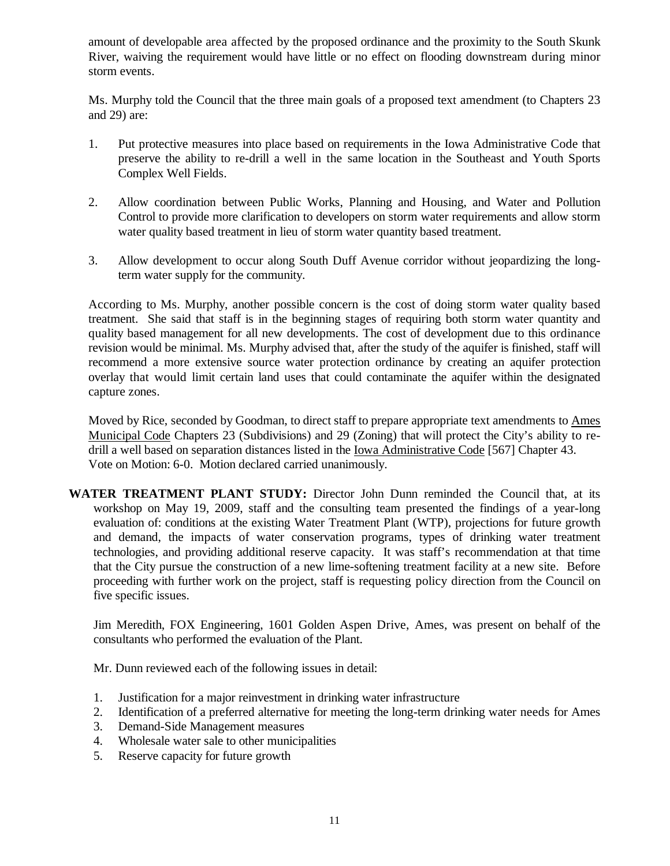amount of developable area affected by the proposed ordinance and the proximity to the South Skunk River, waiving the requirement would have little or no effect on flooding downstream during minor storm events.

Ms. Murphy told the Council that the three main goals of a proposed text amendment (to Chapters 23 and 29) are:

- 1. Put protective measures into place based on requirements in the Iowa Administrative Code that preserve the ability to re-drill a well in the same location in the Southeast and Youth Sports Complex Well Fields.
- 2. Allow coordination between Public Works, Planning and Housing, and Water and Pollution Control to provide more clarification to developers on storm water requirements and allow storm water quality based treatment in lieu of storm water quantity based treatment.
- 3. Allow development to occur along South Duff Avenue corridor without jeopardizing the longterm water supply for the community.

According to Ms. Murphy, another possible concern is the cost of doing storm water quality based treatment. She said that staff is in the beginning stages of requiring both storm water quantity and quality based management for all new developments. The cost of development due to this ordinance revision would be minimal. Ms. Murphy advised that, after the study of the aquifer is finished, staff will recommend a more extensive source water protection ordinance by creating an aquifer protection overlay that would limit certain land uses that could contaminate the aquifer within the designated capture zones.

Moved by Rice, seconded by Goodman, to direct staff to prepare appropriate text amendments to Ames Municipal Code Chapters 23 (Subdivisions) and 29 (Zoning) that will protect the City's ability to redrill a well based on separation distances listed in the Iowa Administrative Code [567] Chapter 43. Vote on Motion: 6-0. Motion declared carried unanimously.

**WATER TREATMENT PLANT STUDY:** Director John Dunn reminded the Council that, at its workshop on May 19, 2009, staff and the consulting team presented the findings of a year-long evaluation of: conditions at the existing Water Treatment Plant (WTP), projections for future growth and demand, the impacts of water conservation programs, types of drinking water treatment technologies, and providing additional reserve capacity. It was staff's recommendation at that time that the City pursue the construction of a new lime-softening treatment facility at a new site. Before proceeding with further work on the project, staff is requesting policy direction from the Council on five specific issues.

Jim Meredith, FOX Engineering, 1601 Golden Aspen Drive, Ames, was present on behalf of the consultants who performed the evaluation of the Plant.

Mr. Dunn reviewed each of the following issues in detail:

- 1. Justification for a major reinvestment in drinking water infrastructure
- 2. Identification of a preferred alternative for meeting the long-term drinking water needs for Ames
- 3. Demand-Side Management measures
- 4. Wholesale water sale to other municipalities
- 5. Reserve capacity for future growth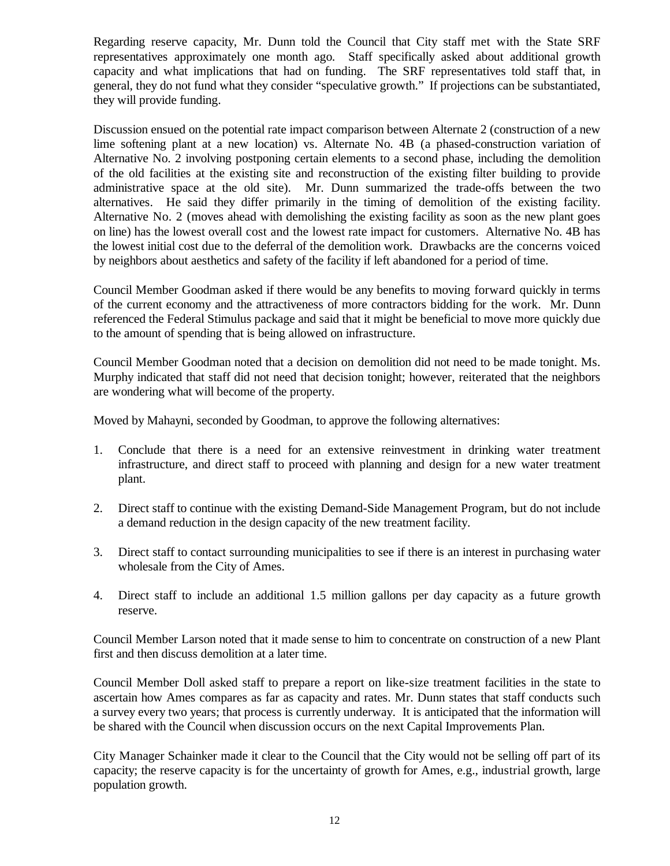Regarding reserve capacity, Mr. Dunn told the Council that City staff met with the State SRF representatives approximately one month ago. Staff specifically asked about additional growth capacity and what implications that had on funding. The SRF representatives told staff that, in general, they do not fund what they consider "speculative growth." If projections can be substantiated, they will provide funding.

Discussion ensued on the potential rate impact comparison between Alternate 2 (construction of a new lime softening plant at a new location) vs. Alternate No. 4B (a phased-construction variation of Alternative No. 2 involving postponing certain elements to a second phase, including the demolition of the old facilities at the existing site and reconstruction of the existing filter building to provide administrative space at the old site). Mr. Dunn summarized the trade-offs between the two alternatives. He said they differ primarily in the timing of demolition of the existing facility. Alternative No. 2 (moves ahead with demolishing the existing facility as soon as the new plant goes on line) has the lowest overall cost and the lowest rate impact for customers. Alternative No. 4B has the lowest initial cost due to the deferral of the demolition work. Drawbacks are the concerns voiced by neighbors about aesthetics and safety of the facility if left abandoned for a period of time.

Council Member Goodman asked if there would be any benefits to moving forward quickly in terms of the current economy and the attractiveness of more contractors bidding for the work. Mr. Dunn referenced the Federal Stimulus package and said that it might be beneficial to move more quickly due to the amount of spending that is being allowed on infrastructure.

Council Member Goodman noted that a decision on demolition did not need to be made tonight. Ms. Murphy indicated that staff did not need that decision tonight; however, reiterated that the neighbors are wondering what will become of the property.

Moved by Mahayni, seconded by Goodman, to approve the following alternatives:

- 1. Conclude that there is a need for an extensive reinvestment in drinking water treatment infrastructure, and direct staff to proceed with planning and design for a new water treatment plant.
- 2. Direct staff to continue with the existing Demand-Side Management Program, but do not include a demand reduction in the design capacity of the new treatment facility.
- 3. Direct staff to contact surrounding municipalities to see if there is an interest in purchasing water wholesale from the City of Ames.
- 4. Direct staff to include an additional 1.5 million gallons per day capacity as a future growth reserve.

Council Member Larson noted that it made sense to him to concentrate on construction of a new Plant first and then discuss demolition at a later time.

Council Member Doll asked staff to prepare a report on like-size treatment facilities in the state to ascertain how Ames compares as far as capacity and rates. Mr. Dunn states that staff conducts such a survey every two years; that process is currently underway. It is anticipated that the information will be shared with the Council when discussion occurs on the next Capital Improvements Plan.

City Manager Schainker made it clear to the Council that the City would not be selling off part of its capacity; the reserve capacity is for the uncertainty of growth for Ames, e.g., industrial growth, large population growth.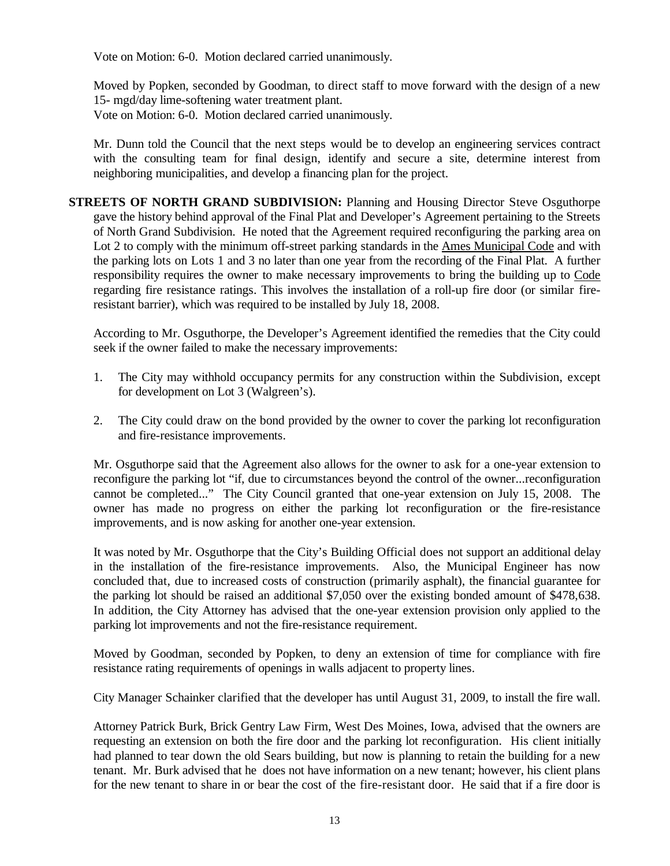Vote on Motion: 6-0. Motion declared carried unanimously.

Moved by Popken, seconded by Goodman, to direct staff to move forward with the design of a new 15- mgd/day lime-softening water treatment plant. Vote on Motion: 6-0. Motion declared carried unanimously.

Mr. Dunn told the Council that the next steps would be to develop an engineering services contract with the consulting team for final design, identify and secure a site, determine interest from neighboring municipalities, and develop a financing plan for the project.

**STREETS OF NORTH GRAND SUBDIVISION:** Planning and Housing Director Steve Osguthorpe gave the history behind approval of the Final Plat and Developer's Agreement pertaining to the Streets of North Grand Subdivision. He noted that the Agreement required reconfiguring the parking area on Lot 2 to comply with the minimum off-street parking standards in the Ames Municipal Code and with the parking lots on Lots 1 and 3 no later than one year from the recording of the Final Plat. A further responsibility requires the owner to make necessary improvements to bring the building up to Code regarding fire resistance ratings. This involves the installation of a roll-up fire door (or similar fireresistant barrier), which was required to be installed by July 18, 2008.

According to Mr. Osguthorpe, the Developer's Agreement identified the remedies that the City could seek if the owner failed to make the necessary improvements:

- 1. The City may withhold occupancy permits for any construction within the Subdivision, except for development on Lot 3 (Walgreen's).
- 2. The City could draw on the bond provided by the owner to cover the parking lot reconfiguration and fire-resistance improvements.

Mr. Osguthorpe said that the Agreement also allows for the owner to ask for a one-year extension to reconfigure the parking lot "if, due to circumstances beyond the control of the owner...reconfiguration cannot be completed..." The City Council granted that one-year extension on July 15, 2008. The owner has made no progress on either the parking lot reconfiguration or the fire-resistance improvements, and is now asking for another one-year extension.

It was noted by Mr. Osguthorpe that the City's Building Official does not support an additional delay in the installation of the fire-resistance improvements. Also, the Municipal Engineer has now concluded that, due to increased costs of construction (primarily asphalt), the financial guarantee for the parking lot should be raised an additional \$7,050 over the existing bonded amount of \$478,638. In addition, the City Attorney has advised that the one-year extension provision only applied to the parking lot improvements and not the fire-resistance requirement.

Moved by Goodman, seconded by Popken, to deny an extension of time for compliance with fire resistance rating requirements of openings in walls adjacent to property lines.

City Manager Schainker clarified that the developer has until August 31, 2009, to install the fire wall.

Attorney Patrick Burk, Brick Gentry Law Firm, West Des Moines, Iowa, advised that the owners are requesting an extension on both the fire door and the parking lot reconfiguration. His client initially had planned to tear down the old Sears building, but now is planning to retain the building for a new tenant. Mr. Burk advised that he does not have information on a new tenant; however, his client plans for the new tenant to share in or bear the cost of the fire-resistant door. He said that if a fire door is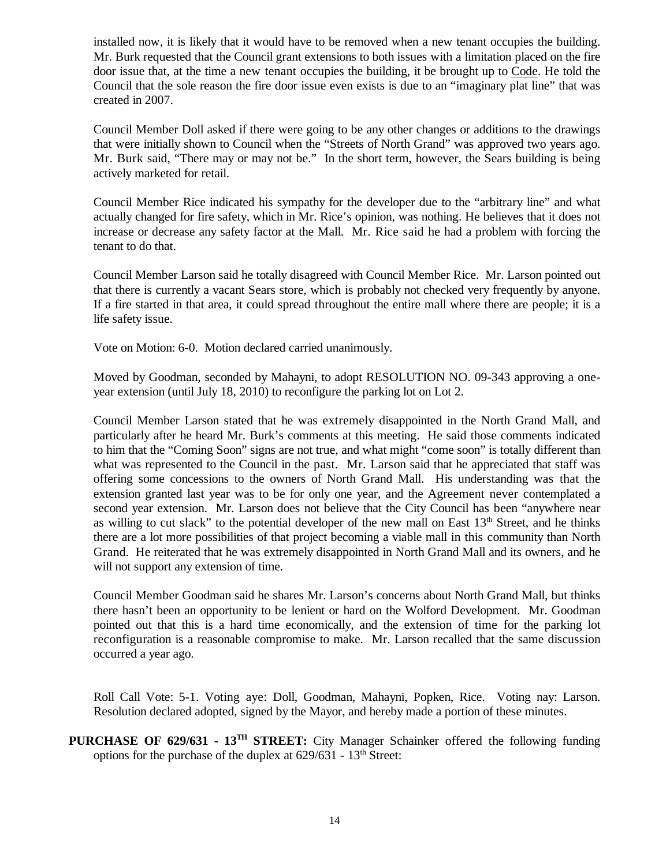installed now, it is likely that it would have to be removed when a new tenant occupies the building. Mr. Burk requested that the Council grant extensions to both issues with a limitation placed on the fire door issue that, at the time a new tenant occupies the building, it be brought up to Code. He told the Council that the sole reason the fire door issue even exists is due to an "imaginary plat line" that was created in 2007.

Council Member Doll asked if there were going to be any other changes or additions to the drawings that were initially shown to Council when the "Streets of North Grand" was approved two years ago. Mr. Burk said, "There may or may not be." In the short term, however, the Sears building is being actively marketed for retail.

Council Member Rice indicated his sympathy for the developer due to the "arbitrary line" and what actually changed for fire safety, which in Mr. Rice's opinion, was nothing. He believes that it does not increase or decrease any safety factor at the Mall. Mr. Rice said he had a problem with forcing the tenant to do that.

Council Member Larson said he totally disagreed with Council Member Rice. Mr. Larson pointed out that there is currently a vacant Sears store, which is probably not checked very frequently by anyone. If a fire started in that area, it could spread throughout the entire mall where there are people; it is a life safety issue.

Vote on Motion: 6-0. Motion declared carried unanimously.

Moved by Goodman, seconded by Mahayni, to adopt RESOLUTION NO. 09-343 approving a oneyear extension (until July 18, 2010) to reconfigure the parking lot on Lot 2.

Council Member Larson stated that he was extremely disappointed in the North Grand Mall, and particularly after he heard Mr. Burk's comments at this meeting. He said those comments indicated to him that the "Coming Soon" signs are not true, and what might "come soon" is totally different than what was represented to the Council in the past. Mr. Larson said that he appreciated that staff was offering some concessions to the owners of North Grand Mall. His understanding was that the extension granted last year was to be for only one year, and the Agreement never contemplated a second year extension. Mr. Larson does not believe that the City Council has been "anywhere near as willing to cut slack" to the potential developer of the new mall on East  $13<sup>th</sup>$  Street, and he thinks there are a lot more possibilities of that project becoming a viable mall in this community than North Grand. He reiterated that he was extremely disappointed in North Grand Mall and its owners, and he will not support any extension of time.

Council Member Goodman said he shares Mr. Larson's concerns about North Grand Mall, but thinks there hasn't been an opportunity to be lenient or hard on the Wolford Development. Mr. Goodman pointed out that this is a hard time economically, and the extension of time for the parking lot reconfiguration is a reasonable compromise to make. Mr. Larson recalled that the same discussion occurred a year ago.

Roll Call Vote: 5-1. Voting aye: Doll, Goodman, Mahayni, Popken, Rice. Voting nay: Larson. Resolution declared adopted, signed by the Mayor, and hereby made a portion of these minutes.

**PURCHASE OF 629/631 - 13TH STREET:** City Manager Schainker offered the following funding options for the purchase of the duplex at  $629/631 - 13$ <sup>th</sup> Street: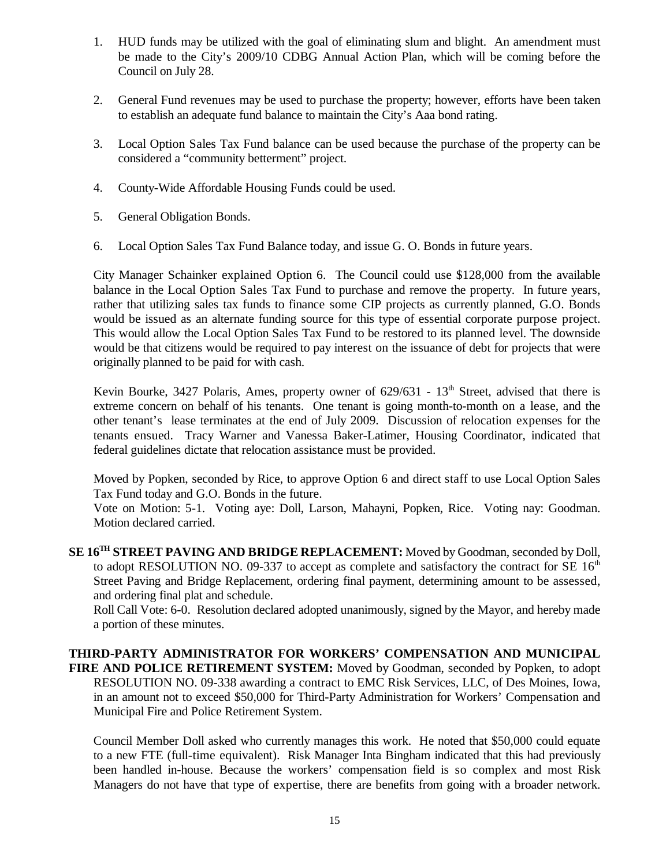- 1. HUD funds may be utilized with the goal of eliminating slum and blight. An amendment must be made to the City's 2009/10 CDBG Annual Action Plan, which will be coming before the Council on July 28.
- 2. General Fund revenues may be used to purchase the property; however, efforts have been taken to establish an adequate fund balance to maintain the City's Aaa bond rating.
- 3. Local Option Sales Tax Fund balance can be used because the purchase of the property can be considered a "community betterment" project.
- 4. County-Wide Affordable Housing Funds could be used.
- 5. General Obligation Bonds.
- 6. Local Option Sales Tax Fund Balance today, and issue G. O. Bonds in future years.

City Manager Schainker explained Option 6. The Council could use \$128,000 from the available balance in the Local Option Sales Tax Fund to purchase and remove the property. In future years, rather that utilizing sales tax funds to finance some CIP projects as currently planned, G.O. Bonds would be issued as an alternate funding source for this type of essential corporate purpose project. This would allow the Local Option Sales Tax Fund to be restored to its planned level. The downside would be that citizens would be required to pay interest on the issuance of debt for projects that were originally planned to be paid for with cash.

Kevin Bourke, 3427 Polaris, Ames, property owner of  $629/631 - 13<sup>th</sup>$  Street, advised that there is extreme concern on behalf of his tenants. One tenant is going month-to-month on a lease, and the other tenant's lease terminates at the end of July 2009. Discussion of relocation expenses for the tenants ensued. Tracy Warner and Vanessa Baker-Latimer, Housing Coordinator, indicated that federal guidelines dictate that relocation assistance must be provided.

Moved by Popken, seconded by Rice, to approve Option 6 and direct staff to use Local Option Sales Tax Fund today and G.O. Bonds in the future.

Vote on Motion: 5-1. Voting aye: Doll, Larson, Mahayni, Popken, Rice. Voting nay: Goodman. Motion declared carried.

**SE 16TH STREET PAVING AND BRIDGE REPLACEMENT:** Moved by Goodman, seconded by Doll, to adopt RESOLUTION NO. 09-337 to accept as complete and satisfactory the contract for SE  $16<sup>th</sup>$ Street Paving and Bridge Replacement, ordering final payment, determining amount to be assessed, and ordering final plat and schedule.

Roll Call Vote: 6-0. Resolution declared adopted unanimously, signed by the Mayor, and hereby made a portion of these minutes.

**THIRD-PARTY ADMINISTRATOR FOR WORKERS' COMPENSATION AND MUNICIPAL FIRE AND POLICE RETIREMENT SYSTEM:** Moved by Goodman, seconded by Popken, to adopt RESOLUTION NO. 09-338 awarding a contract to EMC Risk Services, LLC, of Des Moines, Iowa, in an amount not to exceed \$50,000 for Third-Party Administration for Workers' Compensation and Municipal Fire and Police Retirement System.

Council Member Doll asked who currently manages this work. He noted that \$50,000 could equate to a new FTE (full-time equivalent). Risk Manager Inta Bingham indicated that this had previously been handled in-house. Because the workers' compensation field is so complex and most Risk Managers do not have that type of expertise, there are benefits from going with a broader network.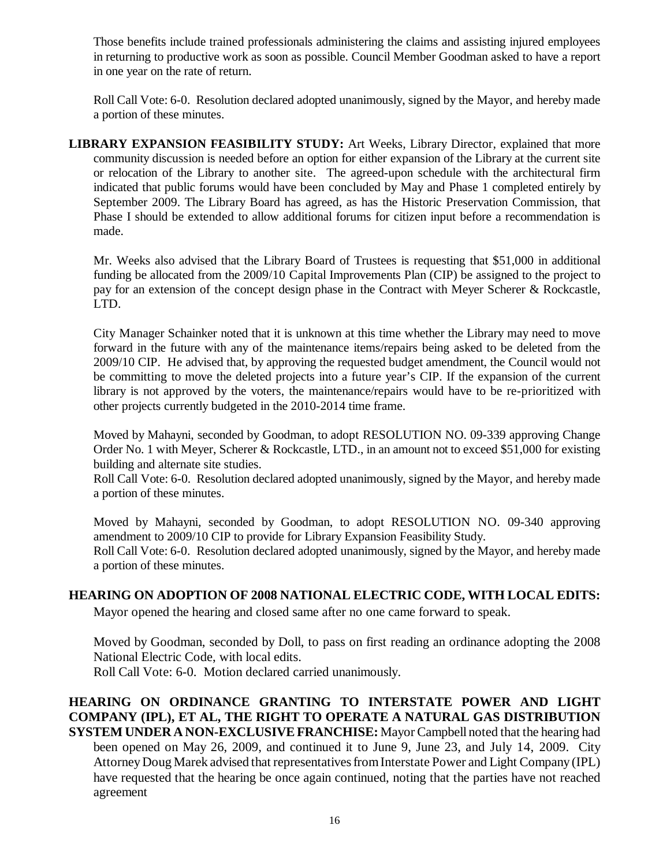Those benefits include trained professionals administering the claims and assisting injured employees in returning to productive work as soon as possible. Council Member Goodman asked to have a report in one year on the rate of return.

Roll Call Vote: 6-0. Resolution declared adopted unanimously, signed by the Mayor, and hereby made a portion of these minutes.

**LIBRARY EXPANSION FEASIBILITY STUDY:** Art Weeks, Library Director, explained that more community discussion is needed before an option for either expansion of the Library at the current site or relocation of the Library to another site. The agreed-upon schedule with the architectural firm indicated that public forums would have been concluded by May and Phase 1 completed entirely by September 2009. The Library Board has agreed, as has the Historic Preservation Commission, that Phase I should be extended to allow additional forums for citizen input before a recommendation is made.

Mr. Weeks also advised that the Library Board of Trustees is requesting that \$51,000 in additional funding be allocated from the 2009/10 Capital Improvements Plan (CIP) be assigned to the project to pay for an extension of the concept design phase in the Contract with Meyer Scherer & Rockcastle, LTD.

City Manager Schainker noted that it is unknown at this time whether the Library may need to move forward in the future with any of the maintenance items/repairs being asked to be deleted from the 2009/10 CIP. He advised that, by approving the requested budget amendment, the Council would not be committing to move the deleted projects into a future year's CIP. If the expansion of the current library is not approved by the voters, the maintenance/repairs would have to be re-prioritized with other projects currently budgeted in the 2010-2014 time frame.

Moved by Mahayni, seconded by Goodman, to adopt RESOLUTION NO. 09-339 approving Change Order No. 1 with Meyer, Scherer & Rockcastle, LTD., in an amount not to exceed \$51,000 for existing building and alternate site studies.

Roll Call Vote: 6-0. Resolution declared adopted unanimously, signed by the Mayor, and hereby made a portion of these minutes.

Moved by Mahayni, seconded by Goodman, to adopt RESOLUTION NO. 09-340 approving amendment to 2009/10 CIP to provide for Library Expansion Feasibility Study. Roll Call Vote: 6-0. Resolution declared adopted unanimously, signed by the Mayor, and hereby made a portion of these minutes.

## **HEARING ON ADOPTION OF 2008 NATIONAL ELECTRIC CODE, WITH LOCAL EDITS:**

Mayor opened the hearing and closed same after no one came forward to speak.

Moved by Goodman, seconded by Doll, to pass on first reading an ordinance adopting the 2008 National Electric Code, with local edits.

Roll Call Vote: 6-0. Motion declared carried unanimously.

**HEARING ON ORDINANCE GRANTING TO INTERSTATE POWER AND LIGHT COMPANY (IPL), ET AL, THE RIGHT TO OPERATE A NATURAL GAS DISTRIBUTION SYSTEM UNDER A NON-EXCLUSIVE FRANCHISE:** Mayor Campbell noted that the hearing had been opened on May 26, 2009, and continued it to June 9, June 23, and July 14, 2009. City Attorney Doug Marek advised that representatives from Interstate Power and Light Company (IPL) have requested that the hearing be once again continued, noting that the parties have not reached agreement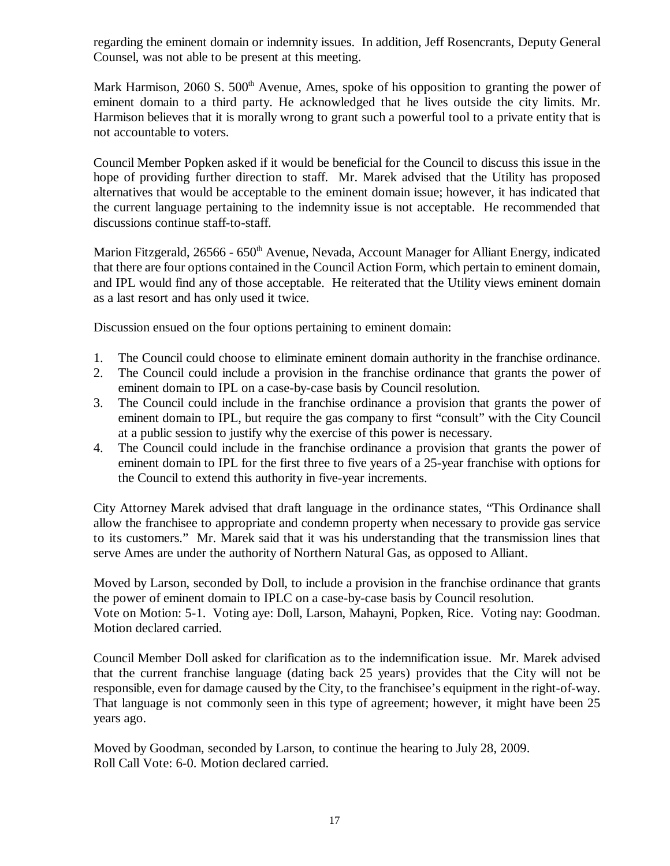regarding the eminent domain or indemnity issues. In addition, Jeff Rosencrants, Deputy General Counsel, was not able to be present at this meeting.

Mark Harmison, 2060 S.  $500<sup>th</sup>$  Avenue, Ames, spoke of his opposition to granting the power of eminent domain to a third party. He acknowledged that he lives outside the city limits. Mr. Harmison believes that it is morally wrong to grant such a powerful tool to a private entity that is not accountable to voters.

Council Member Popken asked if it would be beneficial for the Council to discuss this issue in the hope of providing further direction to staff. Mr. Marek advised that the Utility has proposed alternatives that would be acceptable to the eminent domain issue; however, it has indicated that the current language pertaining to the indemnity issue is not acceptable. He recommended that discussions continue staff-to-staff.

Marion Fitzgerald, 26566 - 650<sup>th</sup> Avenue, Nevada, Account Manager for Alliant Energy, indicated that there are four options contained in the Council Action Form, which pertain to eminent domain, and IPL would find any of those acceptable. He reiterated that the Utility views eminent domain as a last resort and has only used it twice.

Discussion ensued on the four options pertaining to eminent domain:

- 1. The Council could choose to eliminate eminent domain authority in the franchise ordinance.
- 2. The Council could include a provision in the franchise ordinance that grants the power of eminent domain to IPL on a case-by-case basis by Council resolution.
- 3. The Council could include in the franchise ordinance a provision that grants the power of eminent domain to IPL, but require the gas company to first "consult" with the City Council at a public session to justify why the exercise of this power is necessary.
- 4. The Council could include in the franchise ordinance a provision that grants the power of eminent domain to IPL for the first three to five years of a 25-year franchise with options for the Council to extend this authority in five-year increments.

City Attorney Marek advised that draft language in the ordinance states, "This Ordinance shall allow the franchisee to appropriate and condemn property when necessary to provide gas service to its customers." Mr. Marek said that it was his understanding that the transmission lines that serve Ames are under the authority of Northern Natural Gas, as opposed to Alliant.

Moved by Larson, seconded by Doll, to include a provision in the franchise ordinance that grants the power of eminent domain to IPLC on a case-by-case basis by Council resolution. Vote on Motion: 5-1. Voting aye: Doll, Larson, Mahayni, Popken, Rice. Voting nay: Goodman. Motion declared carried.

Council Member Doll asked for clarification as to the indemnification issue. Mr. Marek advised that the current franchise language (dating back 25 years) provides that the City will not be responsible, even for damage caused by the City, to the franchisee's equipment in the right-of-way. That language is not commonly seen in this type of agreement; however, it might have been 25 years ago.

Moved by Goodman, seconded by Larson, to continue the hearing to July 28, 2009. Roll Call Vote: 6-0. Motion declared carried.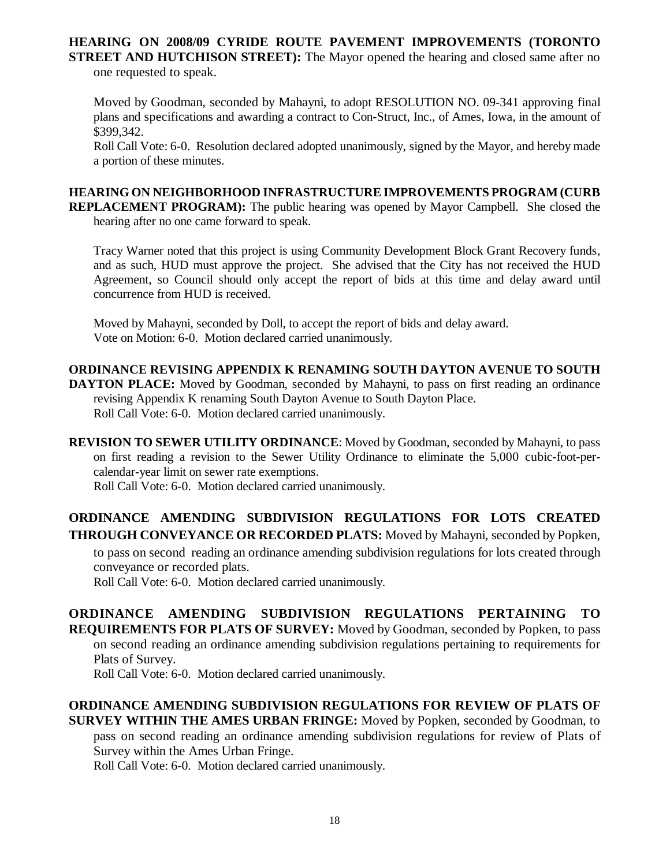# **HEARING ON 2008/09 CYRIDE ROUTE PAVEMENT IMPROVEMENTS (TORONTO STREET AND HUTCHISON STREET):** The Mayor opened the hearing and closed same after no

one requested to speak.

Moved by Goodman, seconded by Mahayni, to adopt RESOLUTION NO. 09-341 approving final plans and specifications and awarding a contract to Con-Struct, Inc., of Ames, Iowa, in the amount of \$399,342.

Roll Call Vote: 6-0. Resolution declared adopted unanimously, signed by the Mayor, and hereby made a portion of these minutes.

**HEARING ON NEIGHBORHOOD INFRASTRUCTURE IMPROVEMENTS PROGRAM (CURB REPLACEMENT PROGRAM):** The public hearing was opened by Mayor Campbell. She closed the hearing after no one came forward to speak.

Tracy Warner noted that this project is using Community Development Block Grant Recovery funds, and as such, HUD must approve the project. She advised that the City has not received the HUD Agreement, so Council should only accept the report of bids at this time and delay award until concurrence from HUD is received.

Moved by Mahayni, seconded by Doll, to accept the report of bids and delay award. Vote on Motion: 6-0. Motion declared carried unanimously.

## **ORDINANCE REVISING APPENDIX K RENAMING SOUTH DAYTON AVENUE TO SOUTH**

**DAYTON PLACE:** Moved by Goodman, seconded by Mahayni, to pass on first reading an ordinance revising Appendix K renaming South Dayton Avenue to South Dayton Place. Roll Call Vote: 6-0. Motion declared carried unanimously.

**REVISION TO SEWER UTILITY ORDINANCE**: Moved by Goodman, seconded by Mahayni, to pass on first reading a revision to the Sewer Utility Ordinance to eliminate the 5,000 cubic-foot-percalendar-year limit on sewer rate exemptions.

Roll Call Vote: 6-0. Motion declared carried unanimously.

# **ORDINANCE AMENDING SUBDIVISION REGULATIONS FOR LOTS CREATED THROUGH CONVEYANCE OR RECORDED PLATS:** Moved by Mahayni, seconded by Popken,

to pass on second reading an ordinance amending subdivision regulations for lots created through conveyance or recorded plats.

Roll Call Vote: 6-0. Motion declared carried unanimously.

**ORDINANCE AMENDING SUBDIVISION REGULATIONS PERTAINING TO REQUIREMENTS FOR PLATS OF SURVEY:** Moved by Goodman, seconded by Popken, to pass on second reading an ordinance amending subdivision regulations pertaining to requirements for Plats of Survey.

Roll Call Vote: 6-0. Motion declared carried unanimously.

## **ORDINANCE AMENDING SUBDIVISION REGULATIONS FOR REVIEW OF PLATS OF SURVEY WITHIN THE AMES URBAN FRINGE:** Moved by Popken, seconded by Goodman, to pass on second reading an ordinance amending subdivision regulations for review of Plats of

Survey within the Ames Urban Fringe.

Roll Call Vote: 6-0. Motion declared carried unanimously.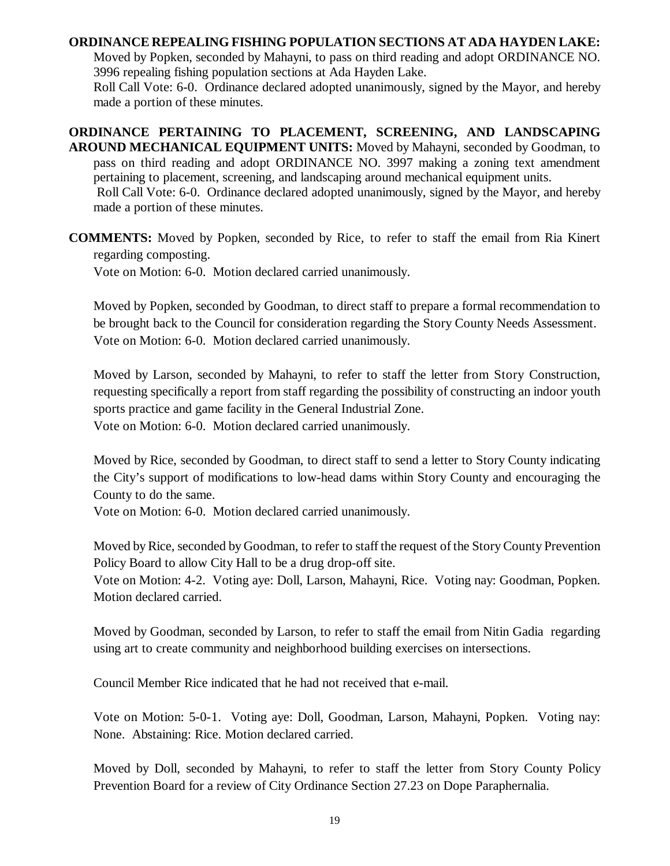#### **ORDINANCE REPEALING FISHING POPULATION SECTIONS AT ADA HAYDEN LAKE:**

Moved by Popken, seconded by Mahayni, to pass on third reading and adopt ORDINANCE NO. 3996 repealing fishing population sections at Ada Hayden Lake.

Roll Call Vote: 6-0. Ordinance declared adopted unanimously, signed by the Mayor, and hereby made a portion of these minutes.

**ORDINANCE PERTAINING TO PLACEMENT, SCREENING, AND LANDSCAPING AROUND MECHANICAL EQUIPMENT UNITS:** Moved by Mahayni, seconded by Goodman, to pass on third reading and adopt ORDINANCE NO. 3997 making a zoning text amendment pertaining to placement, screening, and landscaping around mechanical equipment units. Roll Call Vote: 6-0. Ordinance declared adopted unanimously, signed by the Mayor, and hereby made a portion of these minutes.

**COMMENTS:** Moved by Popken, seconded by Rice, to refer to staff the email from Ria Kinert regarding composting.

Vote on Motion: 6-0. Motion declared carried unanimously.

Moved by Popken, seconded by Goodman, to direct staff to prepare a formal recommendation to be brought back to the Council for consideration regarding the Story County Needs Assessment. Vote on Motion: 6-0. Motion declared carried unanimously.

Moved by Larson, seconded by Mahayni, to refer to staff the letter from Story Construction, requesting specifically a report from staff regarding the possibility of constructing an indoor youth sports practice and game facility in the General Industrial Zone. Vote on Motion: 6-0. Motion declared carried unanimously.

Moved by Rice, seconded by Goodman, to direct staff to send a letter to Story County indicating the City's support of modifications to low-head dams within Story County and encouraging the County to do the same.

Vote on Motion: 6-0. Motion declared carried unanimously.

Moved by Rice, seconded by Goodman, to refer to staff the request of the Story County Prevention Policy Board to allow City Hall to be a drug drop-off site.

Vote on Motion: 4-2. Voting aye: Doll, Larson, Mahayni, Rice. Voting nay: Goodman, Popken. Motion declared carried.

Moved by Goodman, seconded by Larson, to refer to staff the email from Nitin Gadia regarding using art to create community and neighborhood building exercises on intersections.

Council Member Rice indicated that he had not received that e-mail.

Vote on Motion: 5-0-1. Voting aye: Doll, Goodman, Larson, Mahayni, Popken. Voting nay: None. Abstaining: Rice. Motion declared carried.

Moved by Doll, seconded by Mahayni, to refer to staff the letter from Story County Policy Prevention Board for a review of City Ordinance Section 27.23 on Dope Paraphernalia.